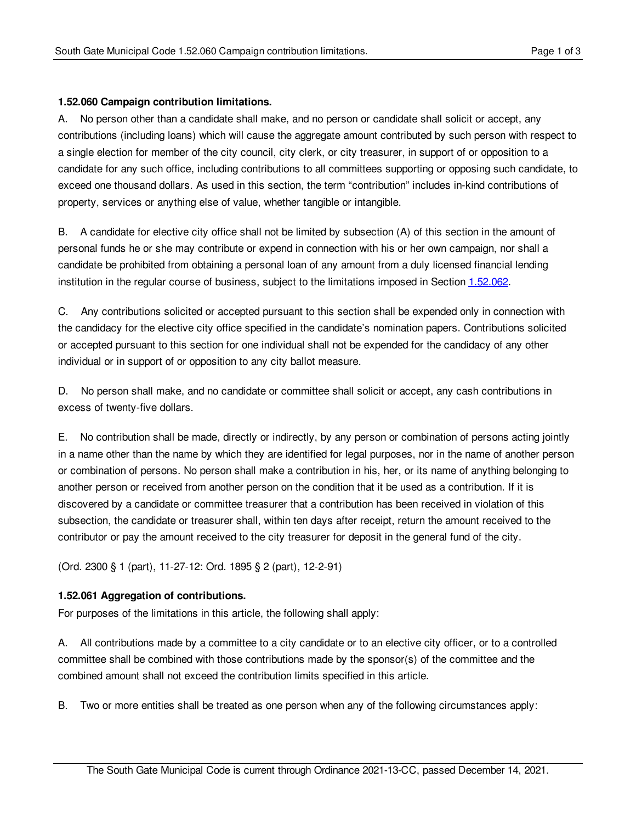## **1.52.060 Campaign contribution limitations.**

A. No person other than a candidate shall make, and no person or candidate shall solicit or accept, any contributions (including loans) which will cause the aggregate amount contributed by such person with respect to a single election for member of the city council, city clerk, or city treasurer, in support of or opposition to a candidate for any such office, including contributions to all committees supporting or opposing such candidate, to exceed one thousand dollars. As used in this section, the term "contribution" includes in-kind contributions of property, services or anything else of value, whether tangible or intangible.

B. A candidate for elective city office shall not be limited by subsection (A) of this section in the amount of personal funds he or she may contribute or expend in connection with his or her own campaign, nor shall a candidate be prohibited from obtaining a personal loan of any amount from a duly licensed financial lending institution in the regular course of business, subject to the limitations imposed in Section [1.52.062](#page-1-0).

C. Any contributions solicited or accepted pursuant to this section shall be expended only in connection with the candidacy for the elective city office specified in the candidate's nomination papers. Contributions solicited or accepted pursuant to this section for one individual shall not be expended for the candidacy of any other individual or in support of or opposition to any city ballot measure.

D. No person shall make, and no candidate or committee shall solicit or accept, any cash contributions in excess of twenty-five dollars.

E. No contribution shall be made, directly or indirectly, by any person or combination of persons acting jointly in a name other than the name by which they are identified for legal purposes, nor in the name of another person or combination of persons. No person shall make a contribution in his, her, or its name of anything belonging to another person or received from another person on the condition that it be used as a contribution. If it is discovered by a candidate or committee treasurer that a contribution has been received in violation of this subsection, the candidate or treasurer shall, within ten days after receipt, return the amount received to the contributor or pay the amount received to the city treasurer for deposit in the general fund of the city.

(Ord. 2300 § 1 (part), 11-27-12: Ord. 1895 § 2 (part), 12-2-91)

## **1.52.061 Aggregation of contributions.**

For purposes of the limitations in this article, the following shall apply:

A. All contributions made by a committee to a city candidate or to an elective city officer, or to a controlled committee shall be combined with those contributions made by the sponsor(s) of the committee and the combined amount shall not exceed the contribution limits specified in this article.

B. Two or more entities shall be treated as one person when any of the following circumstances apply: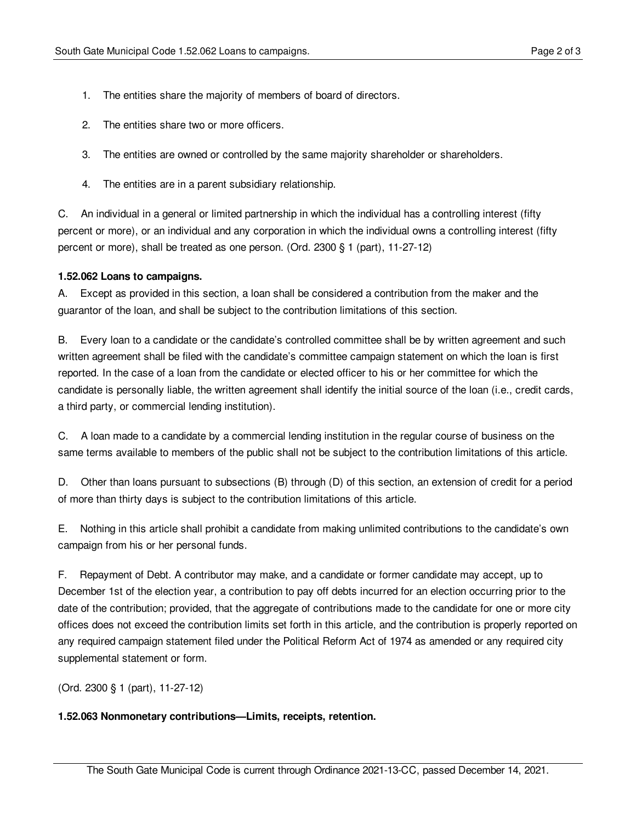- 1. The entities share the majority of members of board of directors.
- 2. The entities share two or more officers.
- 3. The entities are owned or controlled by the same majority shareholder or shareholders.
- 4. The entities are in a parent subsidiary relationship.

C. An individual in a general or limited partnership in which the individual has a controlling interest (fifty percent or more), or an individual and any corporation in which the individual owns a controlling interest (fifty percent or more), shall be treated as one person. (Ord. 2300 § 1 (part), 11-27-12)

## <span id="page-1-0"></span>**1.52.062 Loans to campaigns.**

A. Except as provided in this section, a loan shall be considered a contribution from the maker and the guarantor of the loan, and shall be subject to the contribution limitations of this section.

B. Every loan to a candidate or the candidate's controlled committee shall be by written agreement and such written agreement shall be filed with the candidate's committee campaign statement on which the loan is first reported. In the case of a loan from the candidate or elected officer to his or her committee for which the candidate is personally liable, the written agreement shall identify the initial source of the loan (i.e., credit cards, a third party, or commercial lending institution).

C. A loan made to a candidate by a commercial lending institution in the regular course of business on the same terms available to members of the public shall not be subject to the contribution limitations of this article.

D. Other than loans pursuant to subsections (B) through (D) of this section, an extension of credit for a period of more than thirty days is subject to the contribution limitations of this article.

E. Nothing in this article shall prohibit a candidate from making unlimited contributions to the candidate's own campaign from his or her personal funds.

F. Repayment of Debt. A contributor may make, and a candidate or former candidate may accept, up to December 1st of the election year, a contribution to pay off debts incurred for an election occurring prior to the date of the contribution; provided, that the aggregate of contributions made to the candidate for one or more city offices does not exceed the contribution limits set forth in this article, and the contribution is properly reported on any required campaign statement filed under the Political Reform Act of 1974 as amended or any required city supplemental statement or form.

(Ord. 2300 § 1 (part), 11-27-12)

## **1.52.063 Nonmonetary contributions—Limits, receipts, retention.**